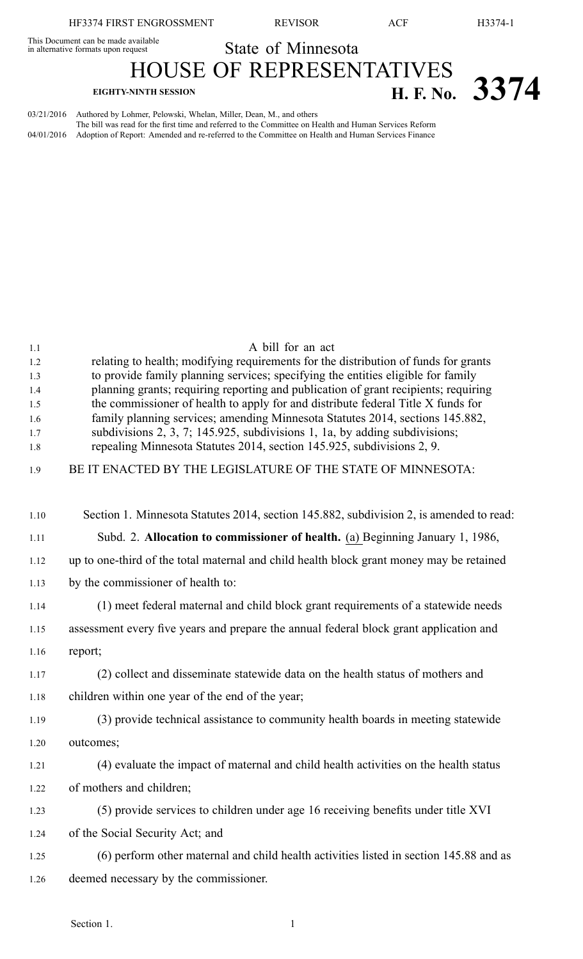This Document can be made available This Document can be made available<br>in alternative formats upon request State of Minnesota

## HOUSE OF REPRESENTATIVES

## **EIGHTY-NINTH SESSION H. F. No. 3374**

03/21/2016 Authored by Lohmer, Pelowski, Whelan, Miller, Dean, M., and others The bill was read for the first time and referred to the Committee on Health and Human Services Reform 04/01/2016 Adoption of Report: Amended and re-referred to the Committee on Health and Human Services Finance

| 1.1        | A bill for an act                                                                                                                                                       |
|------------|-------------------------------------------------------------------------------------------------------------------------------------------------------------------------|
| 1.2        | relating to health; modifying requirements for the distribution of funds for grants                                                                                     |
| 1.3        | to provide family planning services; specifying the entities eligible for family                                                                                        |
| 1.4<br>1.5 | planning grants; requiring reporting and publication of grant recipients; requiring<br>the commissioner of health to apply for and distribute federal Title X funds for |
| 1.6        | family planning services; amending Minnesota Statutes 2014, sections 145.882,                                                                                           |
| 1.7        | subdivisions 2, 3, 7; 145.925, subdivisions 1, 1a, by adding subdivisions;                                                                                              |
| 1.8        | repealing Minnesota Statutes 2014, section 145.925, subdivisions 2, 9.                                                                                                  |
| 1.9        | BE IT ENACTED BY THE LEGISLATURE OF THE STATE OF MINNESOTA:                                                                                                             |
|            |                                                                                                                                                                         |
| 1.10       | Section 1. Minnesota Statutes 2014, section 145.882, subdivision 2, is amended to read:                                                                                 |
| 1.11       | Subd. 2. Allocation to commissioner of health. (a) Beginning January 1, 1986,                                                                                           |
| 1.12       | up to one-third of the total maternal and child health block grant money may be retained                                                                                |
| 1.13       | by the commissioner of health to:                                                                                                                                       |
| 1.14       | (1) meet federal maternal and child block grant requirements of a statewide needs                                                                                       |
| 1.15       | assessment every five years and prepare the annual federal block grant application and                                                                                  |
| 1.16       | report;                                                                                                                                                                 |
| 1.17       | (2) collect and disseminate statewide data on the health status of mothers and                                                                                          |
| 1.18       | children within one year of the end of the year;                                                                                                                        |
| 1.19       | (3) provide technical assistance to community health boards in meeting statewide                                                                                        |
| 1.20       | outcomes;                                                                                                                                                               |
| 1.21       | (4) evaluate the impact of maternal and child health activities on the health status                                                                                    |
| 1.22       | of mothers and children;                                                                                                                                                |
| 1.23       | (5) provide services to children under age 16 receiving benefits under title XVI                                                                                        |
| 1.24       | of the Social Security Act; and                                                                                                                                         |
| 1.25       | (6) perform other maternal and child health activities listed in section 145.88 and as                                                                                  |
| 1.26       | deemed necessary by the commissioner.                                                                                                                                   |
|            |                                                                                                                                                                         |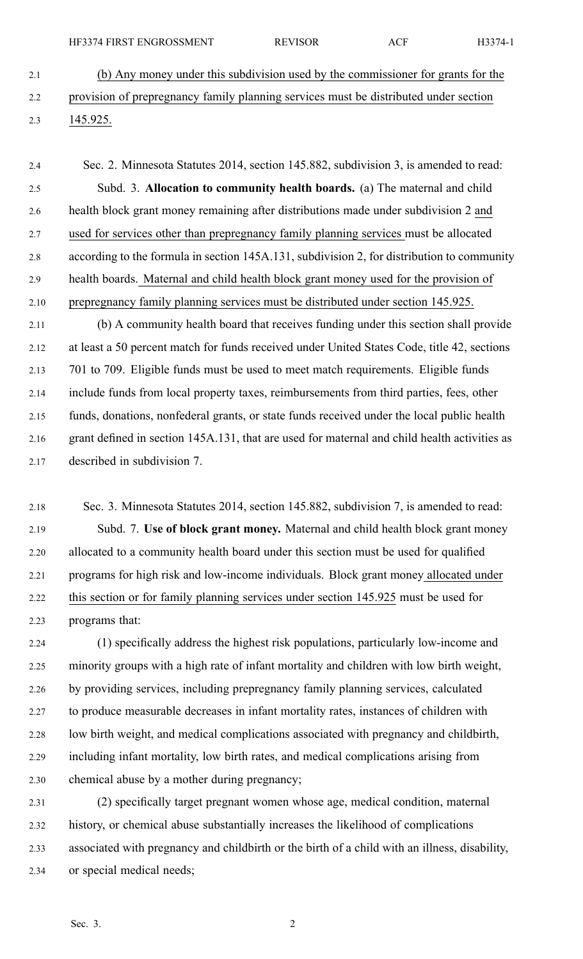- 2.1 (b) Any money under this subdivision used by the commissioner for grants for the 2.2 provision of prepregnancy family planning services must be distributed under section 2.3 145.925.
- 2.4 Sec. 2. Minnesota Statutes 2014, section 145.882, subdivision 3, is amended to read: 2.5 Subd. 3. **Allocation to community health boards.** (a) The maternal and child 2.6 health block gran<sup>t</sup> money remaining after distributions made under subdivision 2 and 2.7 used for services other than prepregnancy family planning services must be allocated 2.8 according to the formula in section 145A.131, subdivision 2, for distribution to community 2.9 health boards. Maternal and child health block gran<sup>t</sup> money used for the provision of 2.10 prepregnancy family planning services must be distributed under section 145.925.
- 2.11 (b) A community health board that receives funding under this section shall provide 2.12 at least <sup>a</sup> 50 percen<sup>t</sup> match for funds received under United States Code, title 42, sections 2.13 701 to 709. Eligible funds must be used to meet match requirements. Eligible funds 2.14 include funds from local property taxes, reimbursements from third parties, fees, other 2.15 funds, donations, nonfederal grants, or state funds received under the local public health 2.16 gran<sup>t</sup> defined in section 145A.131, that are used for maternal and child health activities as 2.17 described in subdivision 7.
- 2.18 Sec. 3. Minnesota Statutes 2014, section 145.882, subdivision 7, is amended to read: 2.19 Subd. 7. **Use of block gran<sup>t</sup> money.** Maternal and child health block gran<sup>t</sup> money 2.20 allocated to <sup>a</sup> community health board under this section must be used for qualified 2.21 programs for high risk and low-income individuals. Block gran<sup>t</sup> money allocated under 2.22 this section or for family planning services under section 145.925 must be used for 2.23 programs that:
- 2.24 (1) specifically address the highest risk populations, particularly low-income and 2.25 minority groups with <sup>a</sup> high rate of infant mortality and children with low birth weight, 2.26 by providing services, including prepregnancy family planning services, calculated 2.27 to produce measurable decreases in infant mortality rates, instances of children with 2.28 low birth weight, and medical complications associated with pregnancy and childbirth, 2.29 including infant mortality, low birth rates, and medical complications arising from 2.30 chemical abuse by <sup>a</sup> mother during pregnancy;
- 2.31 (2) specifically target pregnan<sup>t</sup> women whose age, medical condition, maternal 2.32 history, or chemical abuse substantially increases the likelihood of complications 2.33 associated with pregnancy and childbirth or the birth of <sup>a</sup> child with an illness, disability, 2.34 or special medical needs;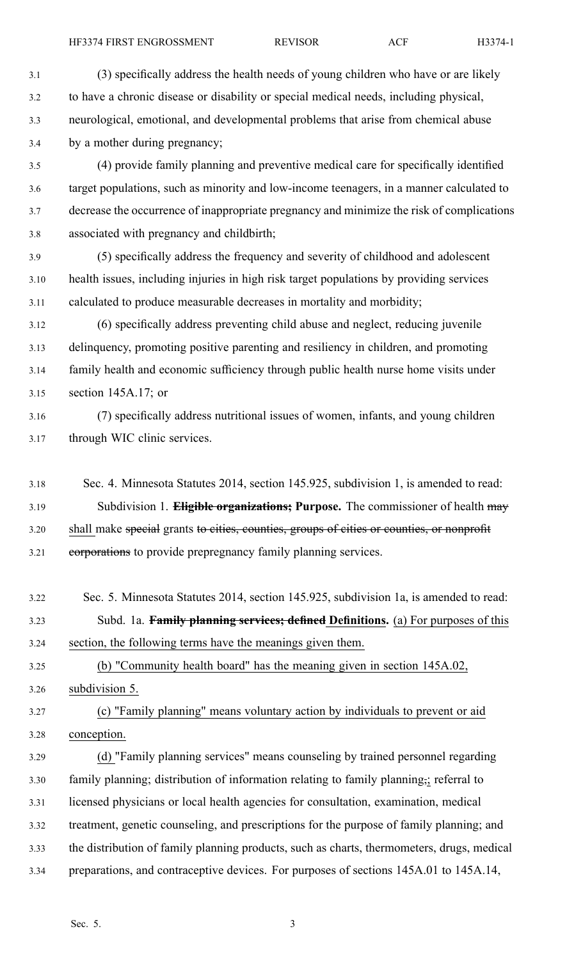3.1 (3) specifically address the health needs of young children who have or are likely 3.2 to have <sup>a</sup> chronic disease or disability or special medical needs, including physical, 3.3 neurological, emotional, and developmental problems that arise from chemical abuse 3.4 by <sup>a</sup> mother during pregnancy;

3.5 (4) provide family planning and preventive medical care for specifically identified 3.6 target populations, such as minority and low-income teenagers, in <sup>a</sup> manner calculated to 3.7 decrease the occurrence of inappropriate pregnancy and minimize the risk of complications 3.8 associated with pregnancy and childbirth;

3.9 (5) specifically address the frequency and severity of childhood and adolescent 3.10 health issues, including injuries in high risk target populations by providing services 3.11 calculated to produce measurable decreases in mortality and morbidity;

3.12 (6) specifically address preventing child abuse and neglect, reducing juvenile 3.13 delinquency, promoting positive parenting and resiliency in children, and promoting 3.14 family health and economic sufficiency through public health nurse home visits under 3.15 section 145A.17; or

3.16 (7) specifically address nutritional issues of women, infants, and young children 3.17 through WIC clinic services.

- 3.18 Sec. 4. Minnesota Statutes 2014, section 145.925, subdivision 1, is amended to read: 3.19 Subdivision 1. **Eligible organizations; Purpose.** The commissioner of health may 3.20 shall make special grants to cities, counties, groups of cities or counties, or nonprofit 3.21 corporations to provide prepregnancy family planning services.
- 3.22 Sec. 5. Minnesota Statutes 2014, section 145.925, subdivision 1a, is amended to read: 3.23 Subd. 1a. **Family planning services; defined Definitions.** (a) For purposes of this 3.24 section, the following terms have the meanings given them.

3.25 (b) "Community health board" has the meaning given in section 145A.02,

3.26 subdivision 5.

3.27 (c) "Family planning" means voluntary action by individuals to preven<sup>t</sup> or aid 3.28 conception.

3.29 (d) "Family planning services" means counseling by trained personnel regarding 3.30 family planning; distribution of information relating to family planning,; referral to 3.31 licensed physicians or local health agencies for consultation, examination, medical 3.32 treatment, genetic counseling, and prescriptions for the purpose of family planning; and 3.33 the distribution of family planning products, such as charts, thermometers, drugs, medical 3.34 preparations, and contraceptive devices. For purposes of sections 145A.01 to 145A.14,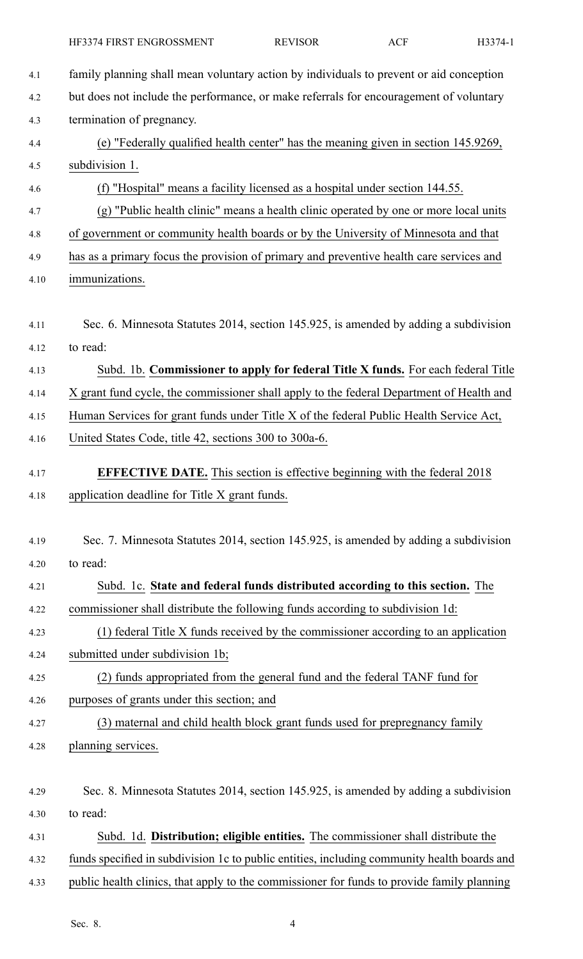| 4.1                  | family planning shall mean voluntary action by individuals to prevent or aid conception                                                                                               |
|----------------------|---------------------------------------------------------------------------------------------------------------------------------------------------------------------------------------|
| 4.2                  | but does not include the performance, or make referrals for encouragement of voluntary                                                                                                |
| 4.3                  | termination of pregnancy.                                                                                                                                                             |
| 4.4                  | (e) "Federally qualified health center" has the meaning given in section 145.9269,                                                                                                    |
| 4.5                  | subdivision 1.                                                                                                                                                                        |
| 4.6                  | (f) "Hospital" means a facility licensed as a hospital under section 144.55.                                                                                                          |
| 4.7                  | (g) "Public health clinic" means a health clinic operated by one or more local units                                                                                                  |
| 4.8                  | of government or community health boards or by the University of Minnesota and that                                                                                                   |
| 4.9                  | has as a primary focus the provision of primary and preventive health care services and                                                                                               |
| 4.10                 | immunizations.                                                                                                                                                                        |
| 4.11<br>4.12<br>4.13 | Sec. 6. Minnesota Statutes 2014, section 145.925, is amended by adding a subdivision<br>to read:<br>Subd. 1b. Commissioner to apply for federal Title X funds. For each federal Title |
| 4.14                 | X grant fund cycle, the commissioner shall apply to the federal Department of Health and                                                                                              |
| 4.15                 | Human Services for grant funds under Title X of the federal Public Health Service Act,                                                                                                |
| 4.16                 | United States Code, title 42, sections 300 to 300a-6.                                                                                                                                 |
|                      |                                                                                                                                                                                       |
| 4.17                 | <b>EFFECTIVE DATE.</b> This section is effective beginning with the federal 2018                                                                                                      |
| 4.18                 | application deadline for Title X grant funds.                                                                                                                                         |
|                      |                                                                                                                                                                                       |
| 4.19                 | Sec. 7. Minnesota Statutes 2014, section 145.925, is amended by adding a subdivision                                                                                                  |
| 4.20                 | to read:                                                                                                                                                                              |
| 4.21                 | Subd. 1c. State and federal funds distributed according to this section. The                                                                                                          |
| 4.22                 | commissioner shall distribute the following funds according to subdivision 1d:                                                                                                        |
| 4.23                 | (1) federal Title X funds received by the commissioner according to an application                                                                                                    |
| 4.24                 | submitted under subdivision 1b;                                                                                                                                                       |
| 4.25                 | (2) funds appropriated from the general fund and the federal TANF fund for                                                                                                            |
| 4.26                 | purposes of grants under this section; and                                                                                                                                            |
| 4.27                 | (3) maternal and child health block grant funds used for prepregnancy family                                                                                                          |
| 4.28                 | planning services.                                                                                                                                                                    |
|                      |                                                                                                                                                                                       |
| 4.29                 | Sec. 8. Minnesota Statutes 2014, section 145.925, is amended by adding a subdivision                                                                                                  |
| 4.30                 | to read:                                                                                                                                                                              |
| 4.31                 | Subd. 1d. Distribution; eligible entities. The commissioner shall distribute the                                                                                                      |
| 4.32                 | funds specified in subdivision 1c to public entities, including community health boards and                                                                                           |
| 4.33                 | public health clinics, that apply to the commissioner for funds to provide family planning                                                                                            |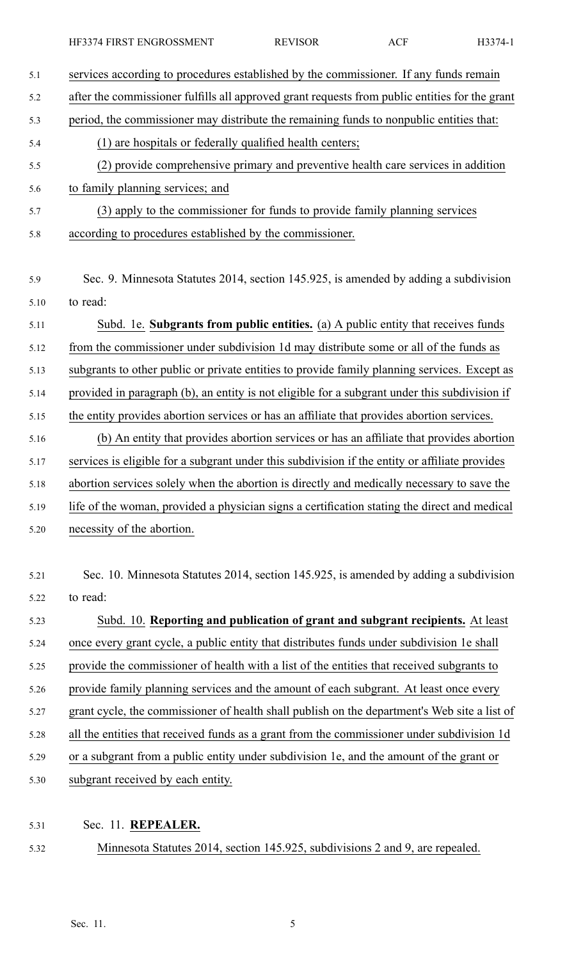| 5.1  | services according to procedures established by the commissioner. If any funds remain          |
|------|------------------------------------------------------------------------------------------------|
| 5.2  | after the commissioner fulfills all approved grant requests from public entities for the grant |
| 5.3  | period, the commissioner may distribute the remaining funds to nonpublic entities that:        |
| 5.4  | (1) are hospitals or federally qualified health centers;                                       |
| 5.5  | (2) provide comprehensive primary and preventive health care services in addition              |
| 5.6  | to family planning services; and                                                               |
| 5.7  | (3) apply to the commissioner for funds to provide family planning services                    |
| 5.8  | according to procedures established by the commissioner.                                       |
| 5.9  | Sec. 9. Minnesota Statutes 2014, section 145.925, is amended by adding a subdivision           |
| 5.10 | to read:                                                                                       |
| 5.11 | Subd. 1e. Subgrants from public entities. (a) A public entity that receives funds              |
| 5.12 | from the commissioner under subdivision 1d may distribute some or all of the funds as          |
| 5.13 | subgrants to other public or private entities to provide family planning services. Except as   |
| 5.14 | provided in paragraph (b), an entity is not eligible for a subgrant under this subdivision if  |
| 5.15 | the entity provides abortion services or has an affiliate that provides abortion services.     |
| 5.16 | (b) An entity that provides abortion services or has an affiliate that provides abortion       |
| 5.17 | services is eligible for a subgrant under this subdivision if the entity or affiliate provides |
| 5.18 | abortion services solely when the abortion is directly and medically necessary to save the     |
| 5.19 | life of the woman, provided a physician signs a certification stating the direct and medical   |
| 5.20 | necessity of the abortion.                                                                     |
| 5.21 | Sec. 10. Minnesota Statutes 2014, section 145.925, is amended by adding a subdivision          |
| 5.22 | to read:                                                                                       |
| 5.23 | Subd. 10. Reporting and publication of grant and subgrant recipients. At least                 |
| 5.24 | once every grant cycle, a public entity that distributes funds under subdivision 1e shall      |
| 5.25 | provide the commissioner of health with a list of the entities that received subgrants to      |
| 5.26 | provide family planning services and the amount of each subgrant. At least once every          |
| 5.27 | grant cycle, the commissioner of health shall publish on the department's Web site a list of   |
| 5.28 | all the entities that received funds as a grant from the commissioner under subdivision 1d     |
| 5.29 | or a subgrant from a public entity under subdivision 1e, and the amount of the grant or        |
| 5.30 | subgrant received by each entity.                                                              |
|      |                                                                                                |

- 5.31 Sec. 11. **REPEALER.**
- 

5.32 Minnesota Statutes 2014, section 145.925, subdivisions 2 and 9, are repealed.